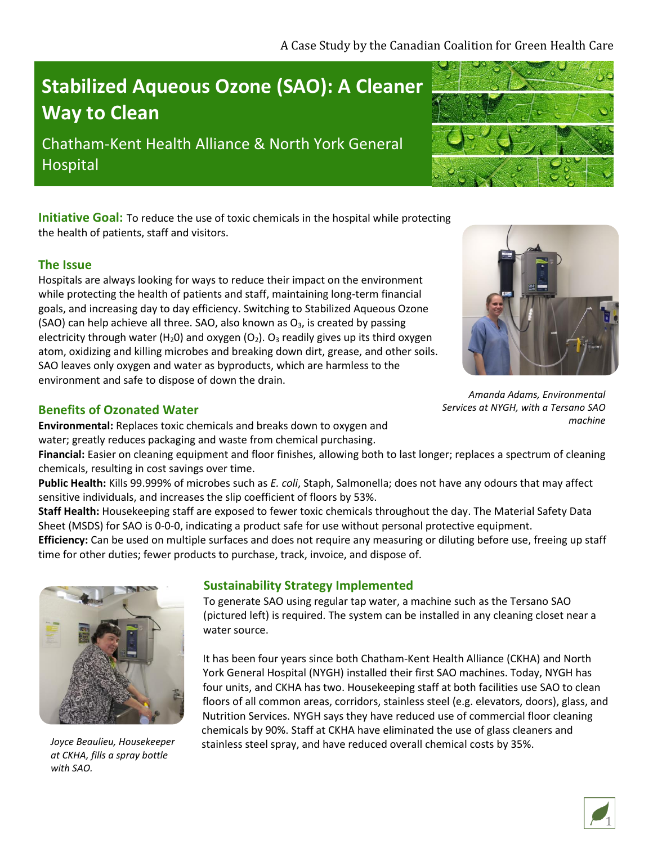# **Stabilized Aqueous Ozone (SAO): A Cleaner Way to Clean**

Chatham-Kent Health Alliance & North York General Hospital

**Initiative Goal:** To reduce the use of toxic chemicals in the hospital while protecting the health of patients, staff and visitors.

## **The Issue**

Hospitals are always looking for ways to reduce their impact on the environment while protecting the health of patients and staff, maintaining long-term financial goals, and increasing day to day efficiency. Switching to Stabilized Aqueous Ozone (SAO) can help achieve all three. SAO, also known as  $O<sub>3</sub>$ , is created by passing electricity through water (H<sub>2</sub>O) and oxygen (O<sub>2</sub>). O<sub>3</sub> readily gives up its third oxygen atom, oxidizing and killing microbes and breaking down dirt, grease, and other soils. SAO leaves only oxygen and water as byproducts, which are harmless to the environment and safe to dispose of down the drain.

## **Benefits of Ozonated Water**

**Environmental:** Replaces toxic chemicals and breaks down to oxygen and water; greatly reduces packaging and waste from chemical purchasing.

**Financial:** Easier on cleaning equipment and floor finishes, allowing both to last longer; replaces a spectrum of cleaning chemicals, resulting in cost savings over time.

**Public Health:** Kills 99.999% of microbes such as *E. coli*, Staph, Salmonella; does not have any odours that may affect sensitive individuals, and increases the slip coefficient of floors by 53%.

**Staff Health:** Housekeeping staff are exposed to fewer toxic chemicals throughout the day. The Material Safety Data Sheet (MSDS) for SAO is 0-0-0, indicating a product safe for use without personal protective equipment.

**Efficiency:** Can be used on multiple surfaces and does not require any measuring or diluting before use, freeing up staff time for other duties; fewer products to purchase, track, invoice, and dispose of.



**Sustainability Strategy Implemented**

To generate SAO using regular tap water, a machine such as the Tersano SAO (pictured left) is required. The system can be installed in any cleaning closet near a water source.

It has been four years since both Chatham-Kent Health Alliance (CKHA) and North York General Hospital (NYGH) installed their first SAO machines. Today, NYGH has four units, and CKHA has two. Housekeeping staff at both facilities use SAO to clean floors of all common areas, corridors, stainless steel (e.g. elevators, doors), glass, and Nutrition Services. NYGH says they have reduced use of commercial floor cleaning chemicals by 90%. Staff at CKHA have eliminated the use of glass cleaners and stainless steel spray, and have reduced overall chemical costs by 35%.

*Amanda Adams, Environmental Services at NYGH, with a Tersano SAO machine*